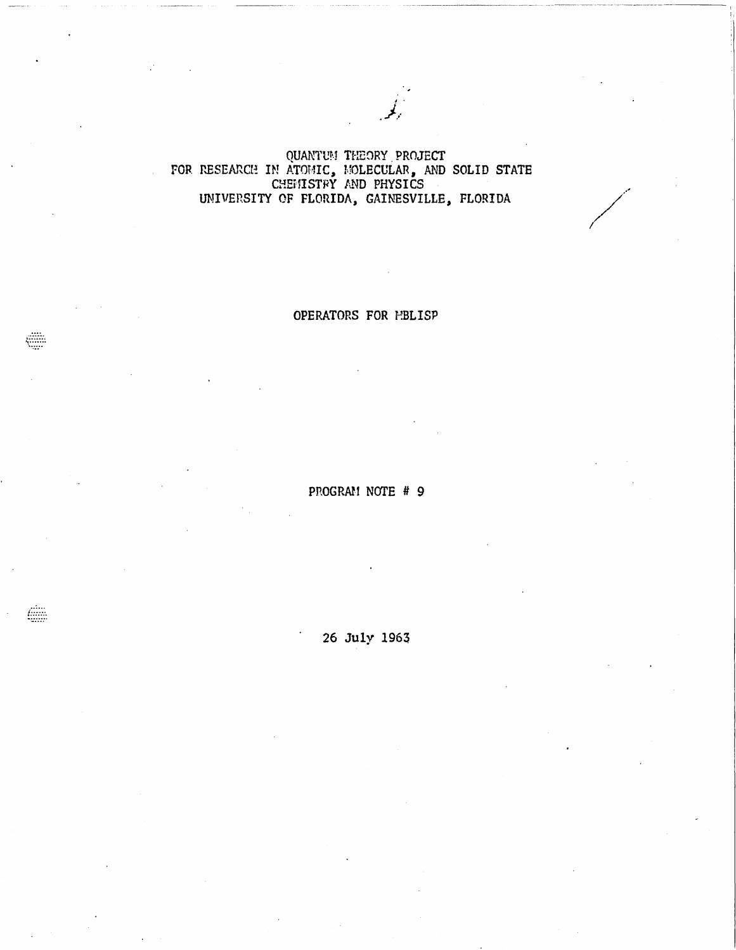QUANTUM THEORY PROJECT<br>FOR RESEARCH IN ATOMIC, MOLECULAR, AND SOLID STATE<br>CHEMISTRY AND PHYSICS UNIVERSITY OF FLORIDA, GAINESVILLE, FLORIDA

OPERATORS FOR MBLISP

PROGRAM NOTE # 9

26 July 1963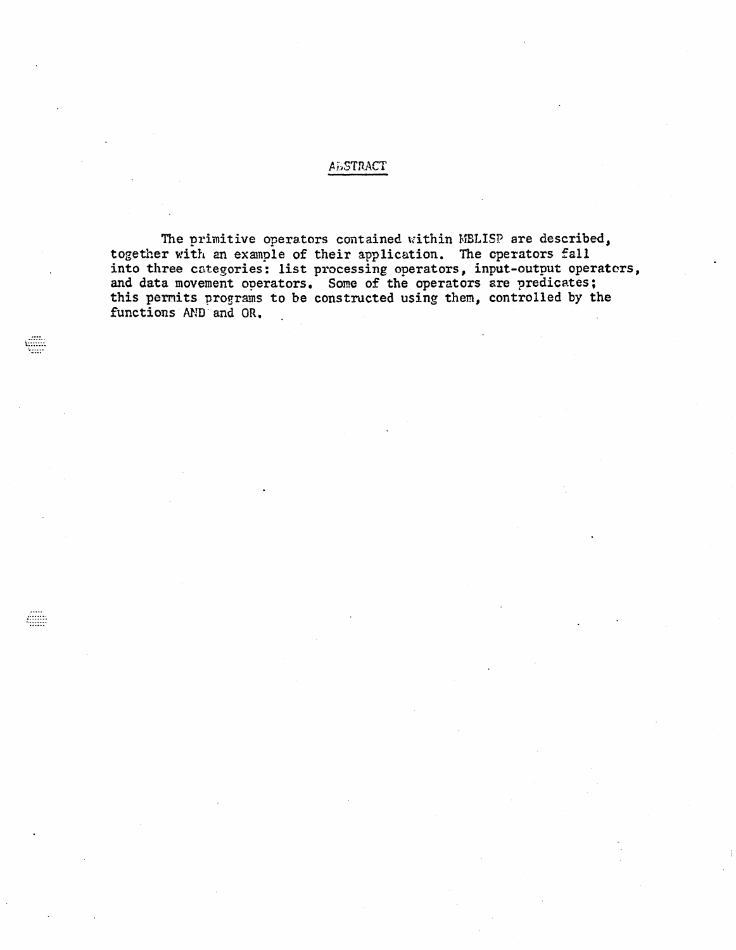## **ABSTRACT**

The primitive operators contained within MBLISP are described, together with an example of their application. The operators fall<br>into three categories: list processing operators, input-output operators,<br>and data movement operators. Some of the operators are predicates; this permits programs to be constructed using them, controlled by the functions AND and OR.

Æ

Æ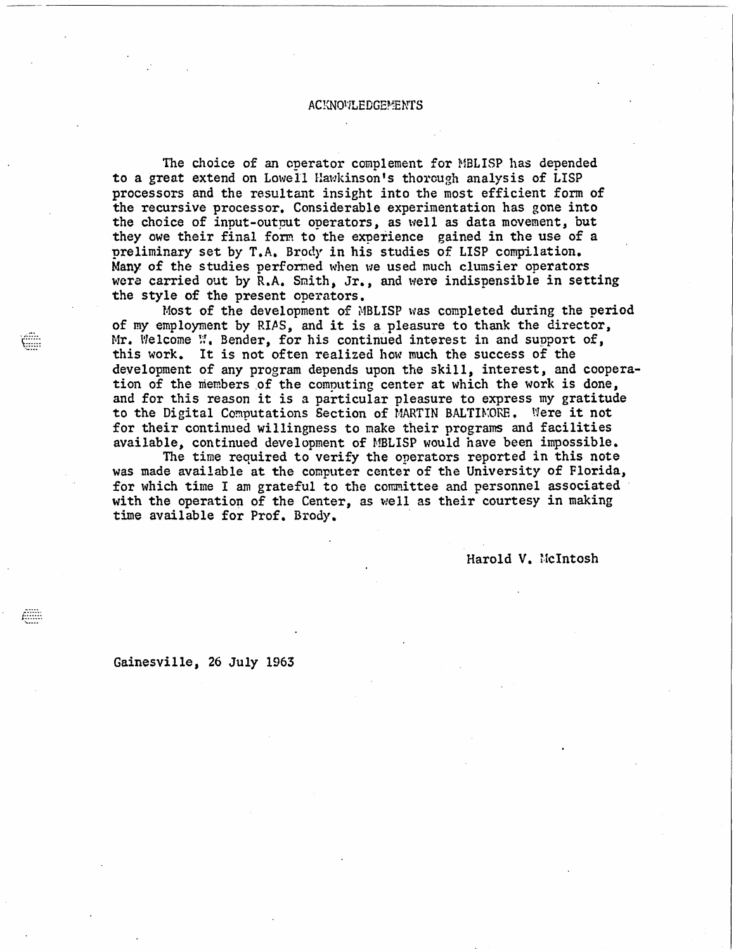## ACKNOVILEDGEMENTS

The choice of an operator complement for MBLISP has depended to a great extend on Lowell Hawkinson's thorough analysis of LISP processors and the resultant insight into the most efficient form of the recursive processor. Considerable experimentation has gone into the choice of input-output operators, as well as data movement, but they owe their final form to the experience gained in the use of a preliminary set by T.A. Brody in his studies of LISP compilation. Many of the studies performed when we used much clumsier operators were carried out by R.A. Smith, Jr., and were indispensible in setting the style of the present operators.

Most of the development of  $MBLISP$  was completed during the period of my employment by RIAS, and it is a pleasure to thank the director, Mr. Welcome  $\mathbb{N}_1$ . Bender, for his continued interest in and support of, this work. It is not often realized how much the success of the development of any program depends upon the skill, interest, and cooperation of the members of the computing center at which the work is done, and for this reason it is a particular pleasure to express my gratitude to the Digital Computations Section of MARTIN BALTIMORE. Were it not for their continued willingness to make their programs and facilities available, continued development of MBLISP would have been impossible.

The time required to verify the operators reported in this note was made available at the computer center of the University of Florida, for which time I am grateful to the committee and personnel associated with the operation of the Center, as well as their courtesy in making time available for Prof. Brody.

Harold V. Nclntosh

Gainesville, 26 July 1963

f.:::::: ..........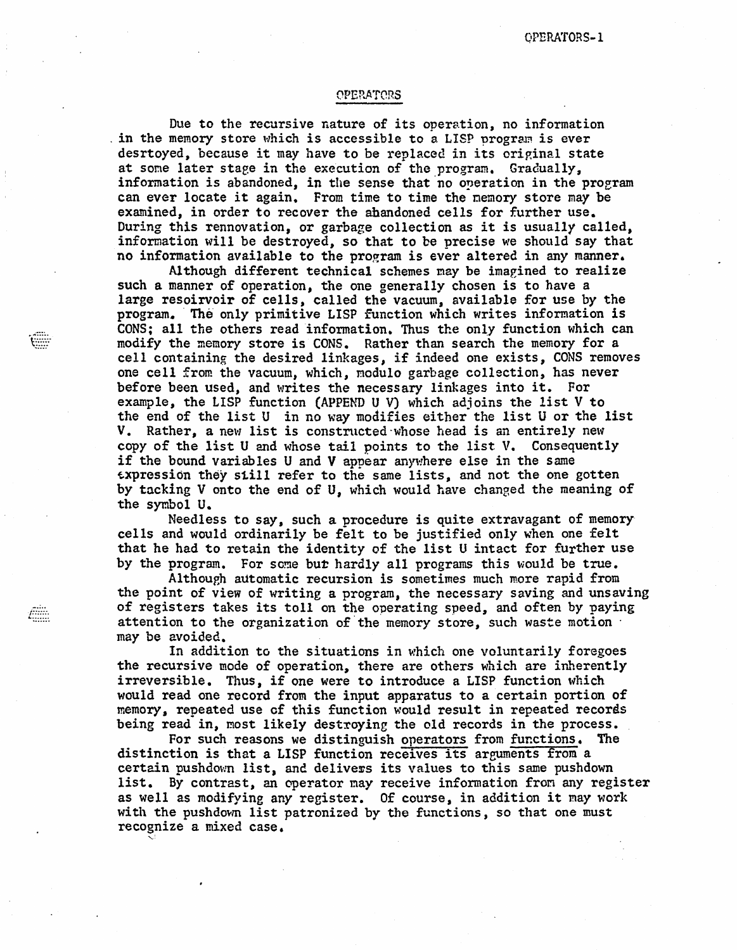## OPERATORS

Due to the recursive nature of its operation, no information in the memory store which is accessible to a LISP program is ever desrtoyed, because it may have to be replaced in its original state at some later stage in the execution of the program. Gradually, information is abandoned, in the sense that no operation in the program can ever locate it again. From time to time the nemory store may be examined, in order to recover the abandoned cells for further use. During this rennovation, or garbage collection as it is usually called, information will be destroyed, so that to be precise we should say that no information available to the program is ever altered in any manner.

Although different technical schemes may be imagined to realize such a manner of operation, the one generally chosen is to have a large resoirvoir of cells, called the vacuum, available for use by the program. ' The only primitive LISP function which writes information is CONS; all the others read information. Thus the only function which can modify the memory store is CONS. Rather than search the memory for a cell containing the desired linkages, if indeed one exists, CONS removes one cell from the vacuum, which, modulo garbage collection, has never before been used, and writes the necessary linkages into it. For example, the LISP function (APPEND U V) which adjoins the list V to the end of the list U in no way modifies either the list U or the list V. Rather, a new list is constructed whose head is an entirely new copy of the list U and whose tail points to the list V. Consequently if the bound variables U and V appear anywhere else in the same ~xpression they still refer to the same lists, and not the one gotten by tacking V onto the end of U, which would have changed the meaning of the symbol U.

Needless to say, such a procedure is quite extravagant of memory' cells and would ordinarily be felt to be justified only when one felt that he had to retain the identity of the list U intact for further use by the program. For some but hardly all programs this would be true.

Although automatic recursion is sometimes much more rapid from the point of view of writing a program, the necessary saving and unsaying of registers takes its toll on the operating speed, and often by paying attention to the organization of the memory store, such waste motion  $\cdot$ may be avoided.

In addition to the situations in which one voluntarily foregoes the recursive mode of operation, there are others which are inherently irreversible. Thus, if one were to introduce a LISP function which would read one record from the input apparatus to a certain portion of memory, repeated use of this function would result in repeated records being read in, most likely destroying the old records in the process.

For such reasons we distinguish operators from functions. The distinction is that a LISP function receives its arguments from a certain pushdown list, and delivers its values to this same pushdown list. By contrast, an operator may receive information from any register as well as modifying any register. Of course, in addition it may work with the pushdown list patronized by the functions, so that one must recognize a mixed case.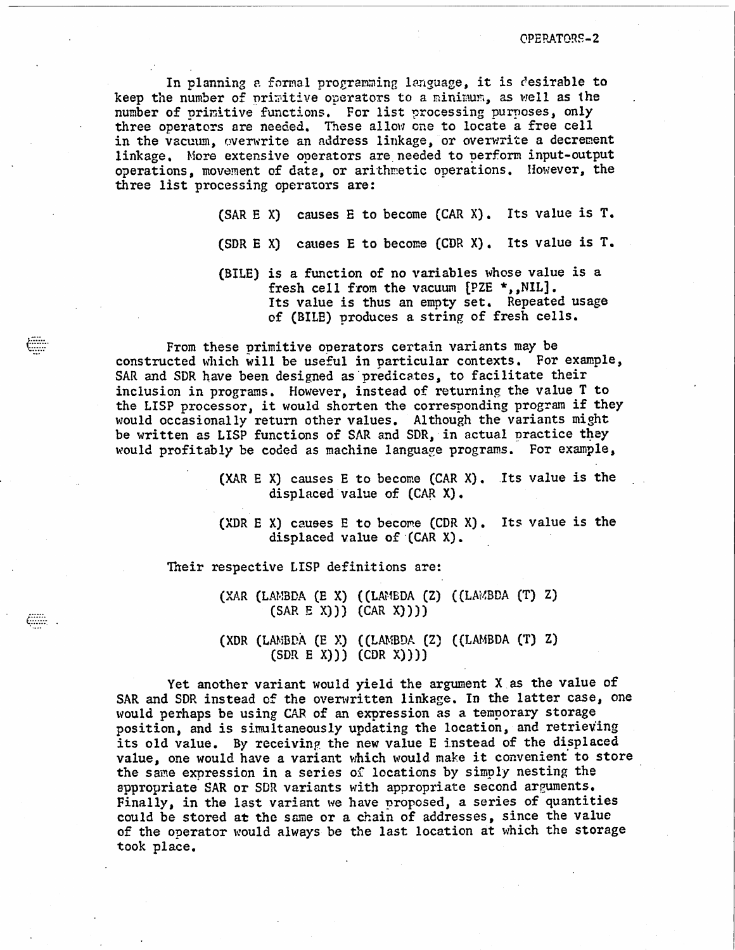OPERATORS-2

In planning a formal programming language, it is desirable to keep the number of primitive operators to a minimum, as well as the number of primitive functions. For list processing purposes, only three operators are needed. These allow one to locate a free cell in the vacuum, overwrite an address linkage, or overwrite a decrement linkage. More extensive operators are needed to perform input-output operations, movement of data, or arithmetic operations. However, the three list processing operators are:

(SAR E X) causes E to become (CAR X). Its value is T.

- (SDR E X) causes E to become (CDR X). Its value is T.
- (BILE) is a function of no variables whose value is a fresh cell from the vacuum [PZE \*,, NIL]. Its value is thus an empty set. Repeated usage of (BILE) produces a string of fresh cells.

From these primitive operators certain variants may be constructed which will be useful in particular contexts. For example, SAR and SDR have been designed as predicates, to facilitate their inclusion in programs. However, instead of returning the value T to the LISP processor, it would shorten the corresponding program if they would occasionally return other values. Although the variants might be written as LISP functions of SAR and SDR, in actual practice they would profitably be coded as machine language programs. For example,

> $(XAR E X)$  causes E to become  $(CAR X)$ . Its value is the displaced value of (CAR X).

> (XDR E X) causes  $E$  to become (CDR X). Its value is the displaced value of (CAR X).

Their respective LISP definitions are:

(XAR (LAMBDA (E X) ((LAMBDA (Z) ((LAMBDA (T) Z)  $(SAR E X)) (CAR X)))$ 

(XDR (LAMBPA  $(E \ X)$  ((LAMBDA  $(Z)$  ((LAMBDA  $(T)$  Z)  $(SDR E X)) (CDR X))$ 

Yet another variant would yield the argument X as the value of SAR and SDR instead of the overwritten linkage. In the latter case, one would perhaps be using CAR of an expression as a temporary storage position, and is simultaneously updating the location, and retrieving its old value. By receiving the new value E instead of the displaced value, one would have a variant which would make it convenient to store the same expression in a series of locations by simply nesting the appropriate SAR or SDR variants with appropriate second arguments. Finally, in the last variant we have proposed, a series of quantities could be stored at the same or a chain of addresses, since the value of the operator would always be the last location at which the storage took place.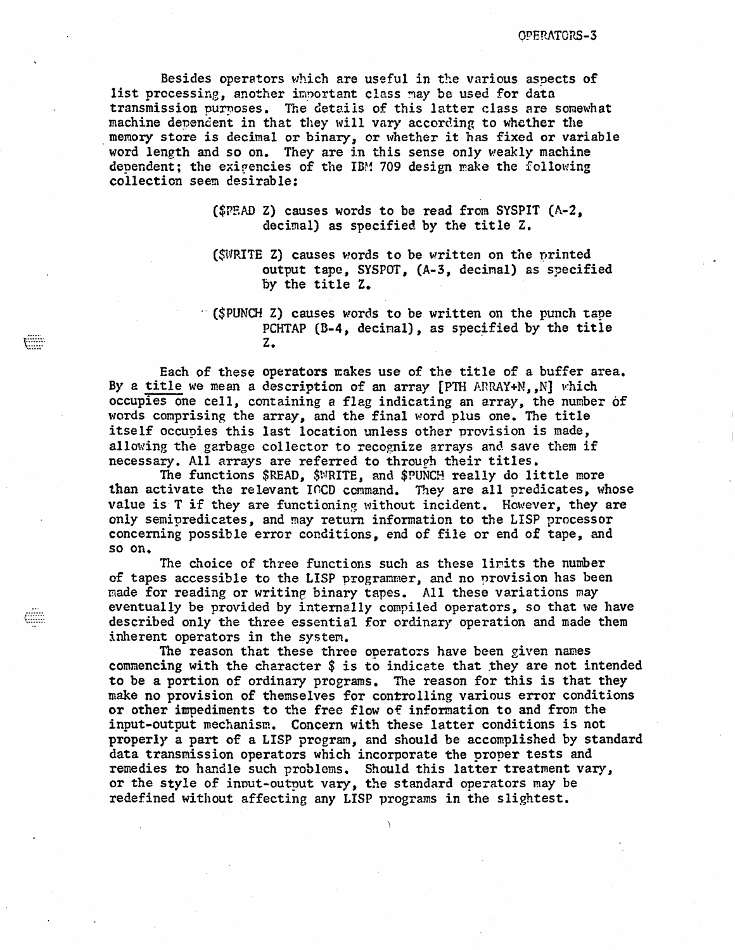Besides operators which are useful in the various aspects of list precessing, another important class may be used for data transmission purposes. The details of this latter class are somewhat machine dependent in that they will vary according to whether the memory store is decimal or binary, or whether it has fixed or variable word length and so on. They are in this sense only weakly machine dependent; the exigencies of the IBM 709 design make the following collection seem desirable:

- (\$PEAD Z) causes words to be read from SYSPIT (A-2, decimal) as specified by the title Z.
- ( $$W{\small RITE}$  Z) causes words to be written on the printed output tape, SYSPOT, (A-3, decimal) as specified by the title Z.
- (\$PUNCH Z) causes words to be written on the punch tape PCHTAP  $(B-4, decimal),$  as specified by the title z.

Each of these operators Eakes use of the title of a buffer area. By a title we mean a description of an array [PTH ARRAY+N,,N] which occupies one cell, containing a flag indicating an array, the number of words comprising the array, and the final word plus one. The title itself occupies this last location unless other provision is made, allowing the garbage collector to recognize arrays and save them if necessary. All arrays are referred to through their titles.

E

The functions \$READ, \$NRITE, and \$PUNCH really do little more than activate the relevant ICCD command. They are all predicates, whose value is  $T$  if they are functioning without incident. However, they are only semipredicates, and may return information to the LISP processor concerning possible error conditions, end of file or end of tape, and so on.

The choice of three functions such as these limits the number of tapes accessible to the LISP programmer, and no provision has been made for reading or writing binary tapes. All these variations may eventually be provided by internally compiled operators, so that we have described only the three essential for ordinary operation and made them inherent operators in the system.

The reason that these three operators have been given names commencing with the character \$ is to indicate that they are not intended to be a portion of ordinary programs. The reason for this is that they make no provision of themselves for controlling various error conditions or other impediments to the free flow of information to and from the input-output mechanism. Concern with these latter conditions is not properly a part of a LISP program, and should be accomplished by standard data transmission operators which incorporate the proper tests and remedies to handle such problems. Should this latter treatment vary, or the style of input-output vary, the standard operators may be redefined without affecting any LISP programs in the slightest.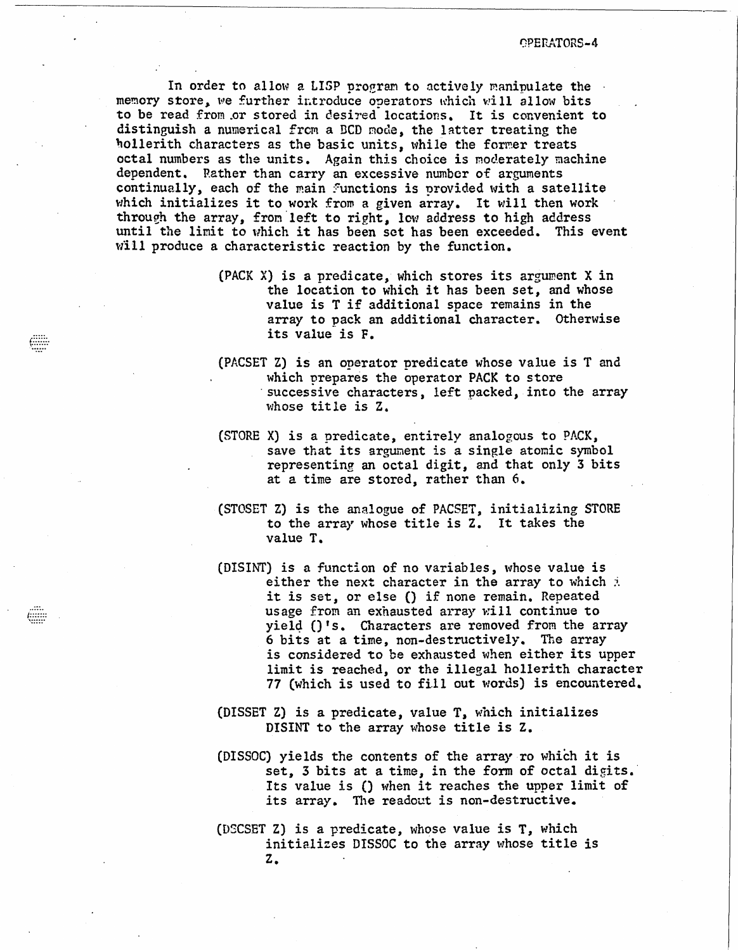t)PErtATORS-4

In order to allow a LISP program to actively manipulate the  $\cdot$ memory store, we further introduce operators which will allow bits to be read from or stored in desired locations. It is convenient to distinguish a numerical from a BCD mode, the latter treating the hollerith characters as the basic units, while the former treats octal numbers as the units. Again this choice is moderately machine dependent. Rather than carry an excessive number of arguments continually, each of the main functions is provided with a satellite which initializes it to work from a given array. It will then work through the array, from left to right, low address to high address until the limit to which it has been set has been exceeded. This event will produce a characteristic reaction by the function.

- (PACK X) is a predicate, which stores its argument X in the location to which it has been set, and whose value is T if additional space remains in the array to pack an additional Character. Otherwise its value is F.
- (PACSET Z) is an operator predicate whose value is T and which prepares the operator PACK to store successive characters, left packed, into the array whose title is Z.
- (STORE X) is a predicate, entirely analogous to PACK, save that its argument is a single atomic symbol representing an octal digit, and that only 3 bits at a time are stored, rather than 6.
- (STOSET Z) is the analogue of PACSET, initializing STORE to the array whose title is Z. It takes the value T.
- ( $DISINT$ ) is a function of no variables, whose value is either the next character in the array to which  $\pm$ it is set, or else () if none remain. Repeated usage from an exhausted array will continue to yie14 ()'s. Characters are removed from the array <sup>6</sup>bits at a time, non-destructively. The array is considered to be exhausted when either its upper limit is reached, or the illegal hollerith character 77 (which is used to fill out words) is encountered.
- (DISSET Z) is a predicate, value T, which initializes DISINT to the array whose title is Z.
- (DISSOC) yields the contents of the array ro which it is set, 3 bits at a time, in the form of octal digits. Its value is () when it reaches the upper limit of its array. The readout is non-destructive.
- (DSCSET Z) is a predicate, whose value is T, which initializes DISSOC to the array whose title is Z.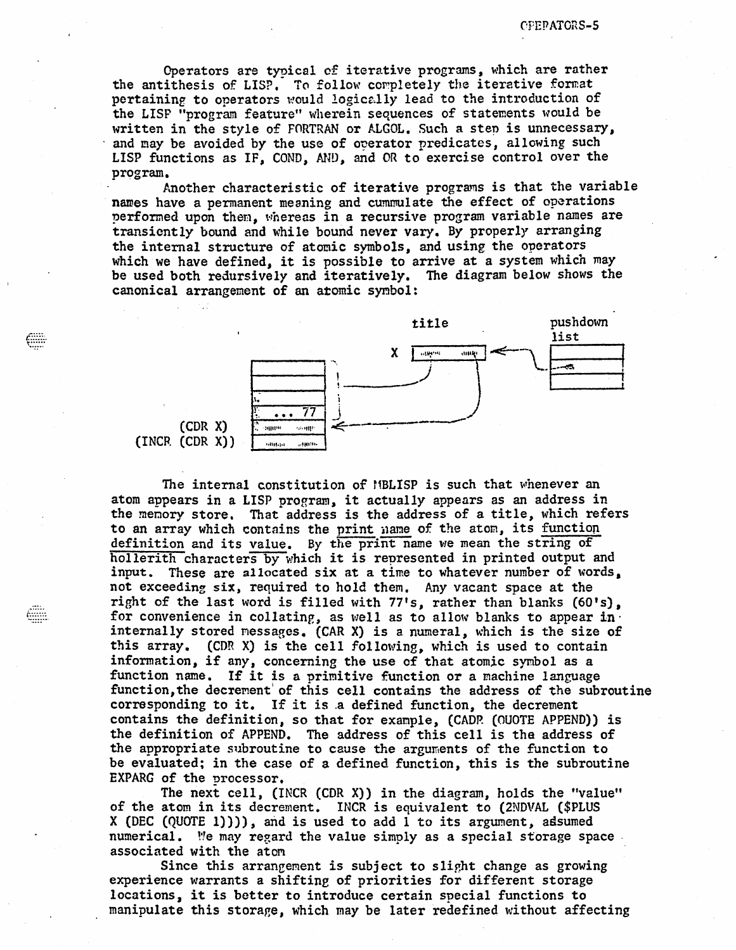Operators are typical of iterative programs, which are rather the antithesis of LISP. To follow completely the iterative format pertaining to operators would logically lead to the introduction of the LISP "program feature" wherein sequences of statements would be written in the style of FORTRAN or ALGOL. Such a step is unnecessary, and may be avoided by the use of operator predicates, allowing such LISP functions as IF, COND, MiD, and OR to exercise control over the program.

Another characteristic of iterative programs is that the variable names have a permanent meaning and cummulate the effect of operations performed upon them, whereas in a recursive program variable names are transiently bound and while bound never vary. By properly arranging the internal structure of atomic symbols, and using the operators which we have defined, it is possible to arrive at a system which may be used both redursively and iteratively. The diagram below shows the canonical arrangement of an atomic symbol:



The internal constitution of  $11BLISP$  is such that whenever an atom appears in a LISP program, it actually appears as an address in the menory store. That address is the address of a title, which refers to an array which contains the print name of the atom, its function definition and its value. *By* the print:name we mean the string of hollerith characters by which it is represented in printed output and input. These are allocated six at a time to whatever number of words. not exceeding six, required to hold them. Any vacant space at the right of the last word is filled with 77's, rather than blanks (60's), for convenience in collating, as well as to allow blanks to appear in. internally stored nessages. (CAR X) is a numeral, which is the size of this array. (CDR X) is the cell following, which is used to contain information, if any, concerning the use of that atomic symbol as a function name. If it is a primitive function or a machine language function, the decrement of this cell contains the address of the subroutine corresponding to it. If it is .a defined function, the decrement contains the definition, so that for example, (CADP. (OUOTE APPEND}) is the definition of APPEND. The address of this cell is the address of the appropriate subroutine to cause the arguments of the function to be evaluated; in the case of a defined function, this is the subroutine EXPARG of the processor.

The next cell, (INCR (CDR X)) in the diagram, holds the "value" of the atom in its decrement. INCR is equivalent to (2NDVAL (\$PLUS X (DEC  $(QUOTE 1))$ ), and is used to add 1 to its argument, adsumed numerical. We may regard the value simply as a special storage space associated with the atom

Since this arrangement is subject to slight change as growing experience warrants a shiftine of priorities for different storage locations, it is better to introduce certain special functions to manipulate this storage, which may be later redefined without affecting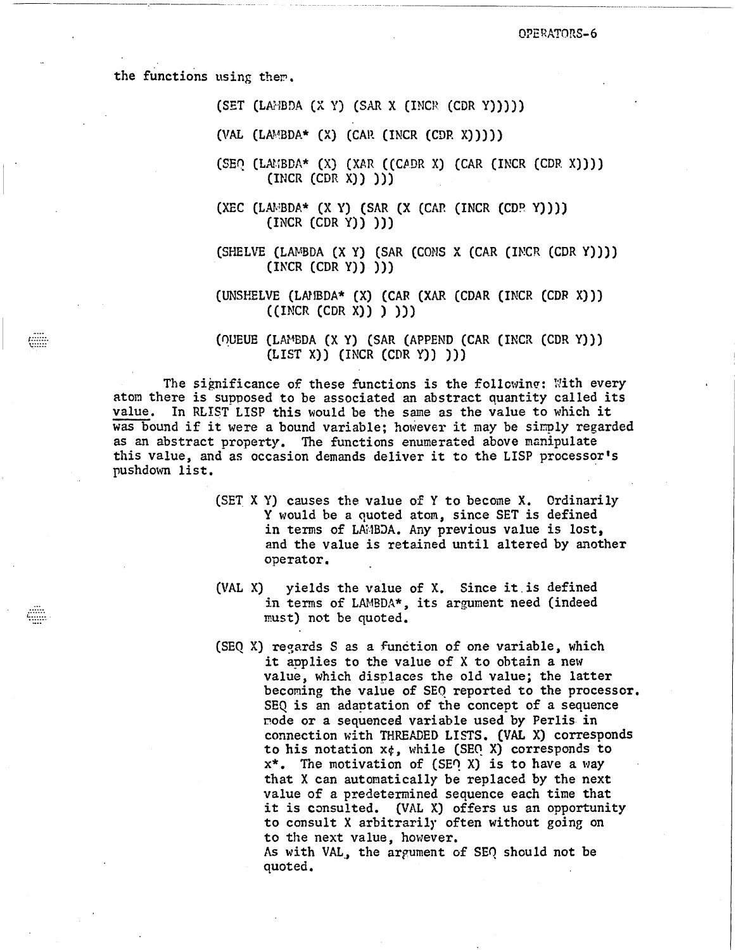the functions using them.

enn

 $(SET (LA:BDA (X Y) (SAR X (INCR (CDR Y))))$ 

(VAL  $(LAMBDA*$  (X)  $(CAR (INCR (CDR X)))))$ 

 $(SEQ (LAYBDA* (X) (XAR ((CADR X) (CAR (INCR (CDR X))))$  $(INCR (CDF X))$ )

 $(XEC (LA \& BDA * (X Y) (SAR (X (CAR (INCR (CDP Y))))$  $\{INCR (CDR Y)\})$ 

(SHELVE (LAMBDA (X Y) (SAR (CONS X (CAR (INCR (CDR Y))))  $(INCR (CDR Y))$ 

(UNSHELVE (LAMBDA\* (X) (CAR (XAR (CDAR (INCR (CDR X)))  $((INCR (CDR X)) )$   $))$ 

(OUEUE (LAMBDA (X Y) (SAR (APPEND (CAR (INCR (CDR Y)))  $(LIST X)$   $(INCR (CDR Y))$   $))$ 

The significance of these functions is the following: With every atom there is supposed to be associated an abstract quantity called its value. In RLIST LISP this would be the same as the value to which it was bound if it were a bound variable; however it may be simply regarded as an abstract property. The functions enumerated above manipulate this value, and as occasion demands deliver it to the LISP processor's pushdown list.

- (SET X Y) causes the value of Y to become X. Ordinarily Y would be a quoted atom, since SET is defined in terms of LAMBDA. Any previous value is lost, and the value is retained until altered by another operator.
- yields the value of X. Since it is defined  $(VAL X)$ in terms of LAMBDA\*, its argument need (indeed must) not be quoted.
- (SEQ X) regards S as a function of one variable, which it applies to the value of X to obtain a new value, which displaces the old value; the latter becoming the value of SEQ reported to the processor. SEQ is an adaptation of the concept of a sequence mode or a sequenced variable used by Perlis in connection with THREADED LISTS. (VAL X) corresponds to his notation  $x \notin$ , while (SEQ X) corresponds to  $x^*$ . The motivation of (SEO X) is to have a way that X can automatically be replaced by the next value of a predetermined sequence each time that it is consulted. (VAL X) offers us an opportunity to consult X arbitrarily often without going on to the next value, however. As with VAL, the argument of SEO should not be

quoted.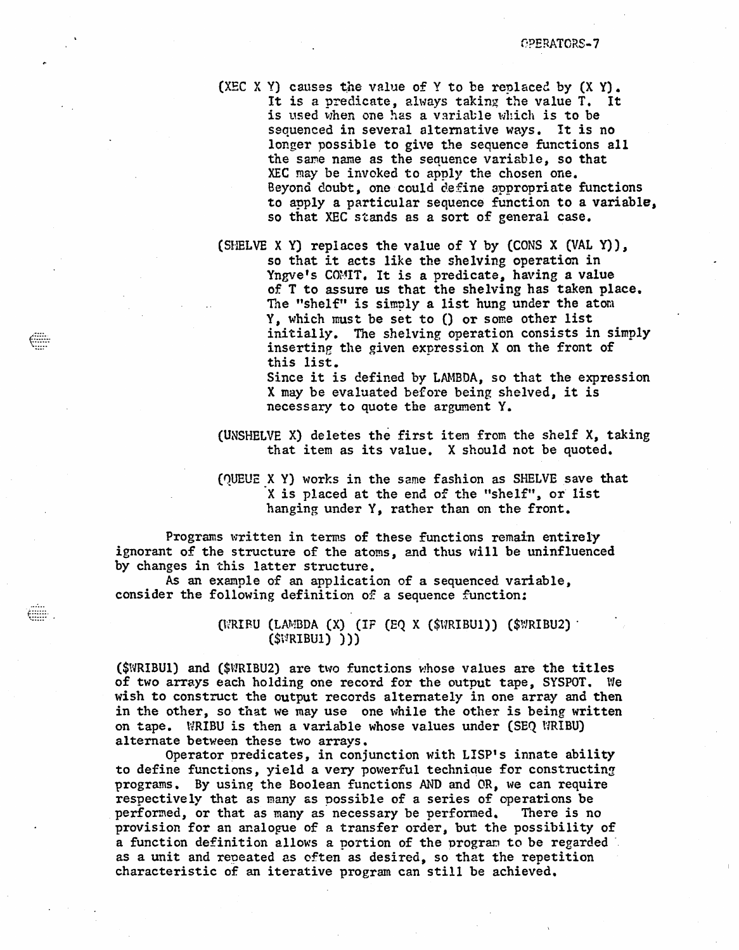(XEC X Y) causes the value of Y to be replaced by  $(X Y)$ . It is a predicate, always taking the value T. It is used when one has a variable which is to be sequenced in several alternative ways. It is no longer possible to give the sequence functions all the same name as the sequence variable, so that XEC may be invoked to apply the chosen one. Beyond doubt, one could define appropriate functions to apply a particular sequence function to a variable, so that XEC stands as a sort of general case.

(SHELVE X Y) replaces the value of Y by (CONS X (VAL Y)), so that it acts like the shelving operation in Yngve's COMIT. It is a predicate, having a value of T to assure us that the shelving has taken place. The "shelf" is simply a list hung under the atom Y, which must be set to () or some other list initially. The shelving operation consists in simply inserting the given expression X on the front of this list.

Since it is defined by LAMBDA, so that the expression X may be evaluated before being shelved, it is necessary to quote the argument Y.

(UNSHELVE X) deletes the first item from the shelf X, taking that item as its value. X should not be quoted.

(QUEUE X Y) works in the same fashion as SHELVE save that X is placed at the end of the "shelf", or list hanging under Y, rather than on the front.

Programs written in terms of these functions remain entirely ignorant of the structure of the atoms, and thus will be uninfluenced by changes in this latter structure.

As an example of an application of a sequenced variable, consider the following definition of a sequence function:

**emm** 

 $(WRIRU (LAMBDA (X) (IF (EQ X ($WRIBUI)) ($WRIBU2)$  $(SVIRIBU1)$  ))

(\$WRIBU1) and (\$WRIBU2) are two functions whose values are the titles of two arrays each holding one record for the output tape, SYSPOT. We wish to construct the output records alternately in one array and then in the other, so that we may use one while the other is being written on tape. WRIBU is then a variable whose values under (SEQ WRIBU) alternate between these two arrays.

Operator predicates, in conjunction with LISP's innate ability to define functions, yield a very powerful technique for constructing programs. By using the Boolean functions AND and OR, we can require respectively that as many as possible of a series of operations be performed, or that as many as necessary be performed. There is no provision for an analogue of a transfer order, but the possibility of a function definition allows a portion of the program to be regarded. as a unit and repeated as often as desired, so that the repetition characteristic of an iterative program can still be achieved.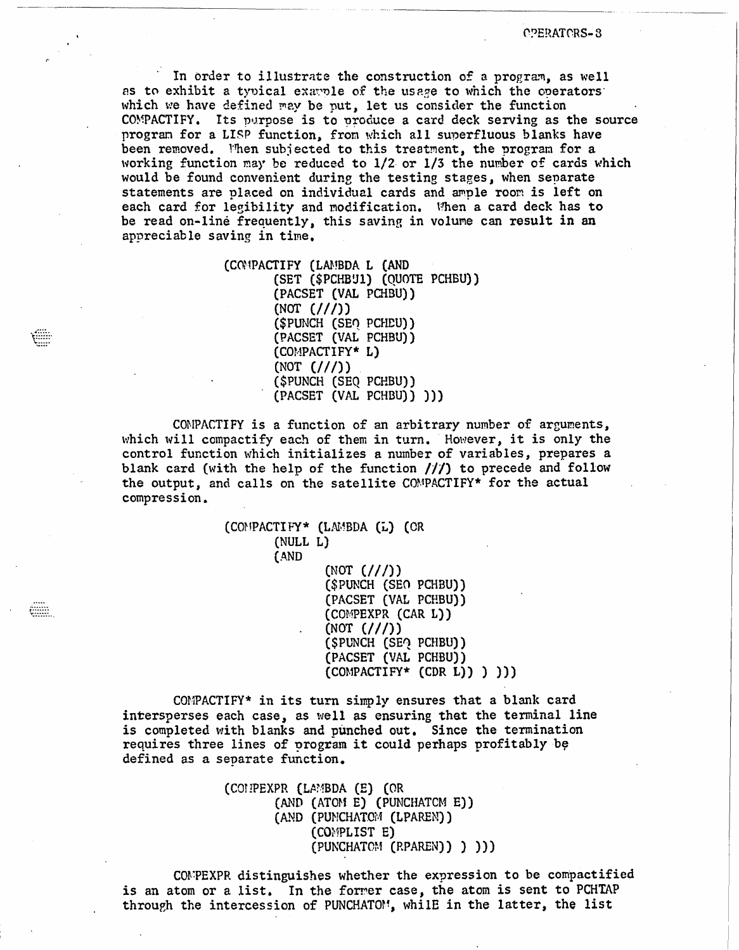In order to illustrate the construction of a program, as well as to exhibit a typical example of the usage to which the operators which we have defined may be put, let us consider the function COMPACTIFY. Its purpose is to produce a card deck serving as the source program for a LISP function, from which all superfluous blanks have been removed. Then subjected to this treatment, the program for a working function may be reduced to 1/2 or 1/3 the number of cards which would be found convenient during the testing stages, when separate statements are placed on individual cards and ample room is left on each card for legibility and modification. When a card deck has to be read on-line frequently, this saving in volume can result in an appreciable saving in time.

> (COMPACTIFY (LAMBDA L (AND (SET (\$PCHBU1) (QUOTE PCHBU)) (PACSET (VAL PCHBU))  $(NOT (///))$ (\$PUNCH (SEO PCHEU)) (PACSET (VAL PCHBU)) (COMPACTIFY\* L)  $(NOT  $///$ )$ (\$PUNCH (SEQ PCHBU)) (PACSET (VAL PCHBU)) )))

COMPACTIFY is a function of an arbitrary number of arguments, which will compactify each of them in turn. However, it is only the control function which initializes a number of variables, prepares a blank card (with the help of the function  $//$ ) to precede and follow the output, and calls on the satellite COMPACTIFY\* for the actual compression.

```
(COMPACTIFY* (LAMBDA (L) (OR
(NULL L)
(AND
       (NOT (///))
       ($PUNCH (SEO PCHBU))
       (PACSET (VAL PCHBU))
       (COMPEXPR (CAR L))(NOT (///))($PUNCH (SEQ PCHBU))
       (PACSET (VAL PCHBU))
       [COMPACTIFY*(CDR L))] ) ) )
```
COMPACTIFY\* in its turn simply ensures that a blank card intersperses each case, as well as ensuring that the terminal line is completed with blanks and punched out. Since the termination requires three lines of program it could perhaps profitably be defined as a separate function.

> (CONPEXPR (LAMBDA (E) (OR (AND (ATOM E) (PUNCHATCM E)) (AND (PUNCHATOM (LPAREN)) (COMPLIST E) (PUNCHATOM (RPAREN)) ) ) )

COMPEXPR distinguishes whether the expression to be compactified is an atom or a list. In the former case, the atom is sent to PCHTAP through the intercession of PUNCHATOM, whilE in the latter, the list